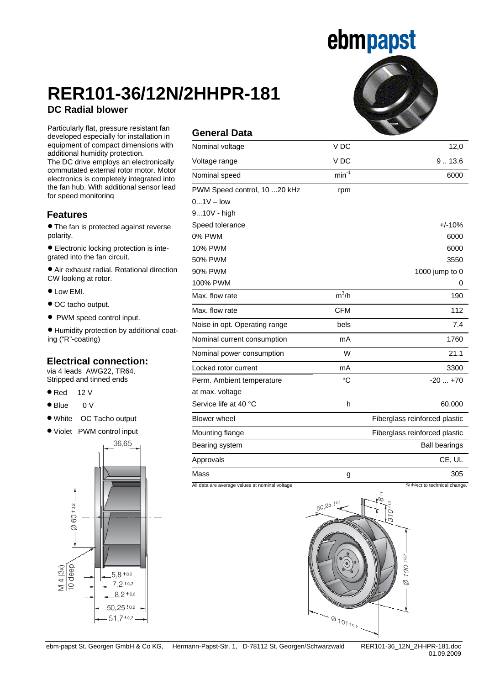## ebmpapst

### **RER101-36/12N/2HHPR-181 DC Radial blower**

**equipment of compact dimensions with** Particularly flat, pressure resistant fan developed especially for installation in additional humidity protection.

The DC drive employs an electronically commutated external rotor motor. Motor electronics is completely integrated into the fan hub. With additional sensor lead for speed monitoring

#### **Features**

• The fan is protected against reverse polarity.

• Electronic locking protection is integrated into the fan circuit.

• Air exhaust radial. Rotational direction CW looking at rotor.

- Low EMI.
- OC tacho output.
- PWM speed control input.

• Humidity protection by additional coating ("R"-coating)

#### **Electrical connection:**

via 4 leads AWG22, TR64. Stripped and tinned ends

- $\bullet$  Red 12 V
- Blue 0 V
- White OC Tacho output
- Violet PWM control input



### **General Data**

| V DC            | 12,0                          |
|-----------------|-------------------------------|
| V <sub>DC</sub> | 9.13.6                        |
| $min^{-1}$      | 6000                          |
| rpm             |                               |
|                 |                               |
|                 |                               |
|                 | $+/-10%$                      |
|                 | 6000                          |
|                 | 6000                          |
|                 | 3550                          |
|                 | 1000 jump to 0                |
|                 | 0                             |
| $m^3/h$         | 190                           |
| <b>CFM</b>      | 112                           |
| bels            | 7.4                           |
| mA              | 1760                          |
| W               | 21.1                          |
| mA              | 3300                          |
| °C              | $-20+70$                      |
|                 |                               |
| h               | 60.000                        |
|                 | Fiberglass reinforced plastic |
|                 | Fiberglass reinforced plastic |
|                 | <b>Ball bearings</b>          |
|                 | CE, UL                        |
| g               | 305                           |
|                 |                               |

All data are average values at nominal voltage Subject to technical change.



01.09.2009

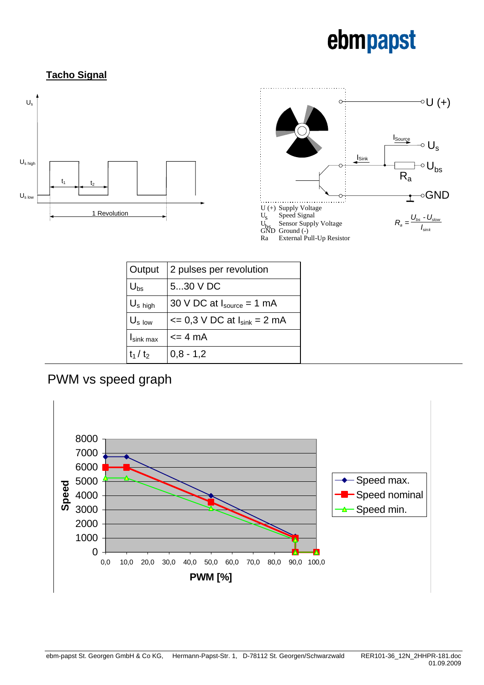# ebmpapst

### **Tacho Signal**





| Output                | 2 pulses per revolution                           |
|-----------------------|---------------------------------------------------|
| $U_{bs}$              | 530 V DC                                          |
| $U_s$ high            | 30 V DC at $I_{source} = 1$ mA                    |
| $U_{s}$ low           | $\epsilon$ = 0,3 V DC at $I_{\text{sink}}$ = 2 mA |
| $I_{\text{sink max}}$ | $\leq$ 4 mA                                       |
| $t_1 / t_2$           | $0,8 - 1,2$                                       |

### PWM vs speed graph